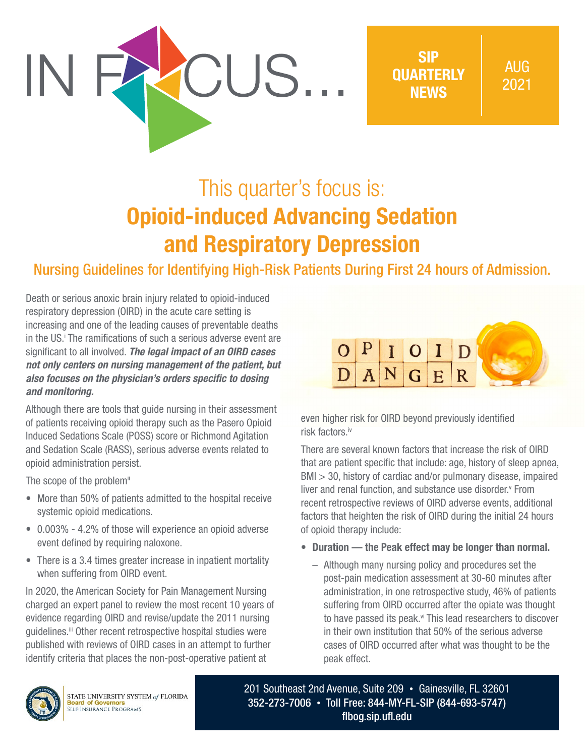

SIP **OUARTERLY NEWS** 

# This quarter's focus is: Opioid-induced Advancing Sedation and Respiratory Depression

## Nursing Guidelines for Identifying High-Risk Patients During First 24 hours of Admission.

Death or serious anoxic brain injury related to opioid-induced respiratory depression (OIRD) in the acute care setting is increasing and one of the leading causes of preventable deaths in the US.<sup>†</sup> The ramifications of such a serious adverse event are significant to all involved. *The legal impact of an OIRD cases not only centers on nursing management of the patient, but also focuses on the physician's orders specific to dosing and monitoring.*

Although there are tools that guide nursing in their assessment of patients receiving opioid therapy such as the Pasero Opioid Induced Sedations Scale (POSS) score or Richmond Agitation and Sedation Scale (RASS), serious adverse events related to opioid administration persist.

The scope of the problem<sup>ii</sup>

- More than 50% of patients admitted to the hospital receive systemic opioid medications.
- 0.003% 4.2% of those will experience an opioid adverse event defined by requiring naloxone.
- There is a 3.4 times greater increase in inpatient mortality when suffering from OIRD event.

In 2020, the American Society for Pain Management Nursing charged an expert panel to review the most recent 10 years of evidence regarding OIRD and revise/update the 2011 nursing guidelines.<sup>iii</sup> Other recent retrospective hospital studies were published with reviews of OIRD cases in an attempt to further identify criteria that places the non-post-operative patient at



even higher risk for OIRD beyond previously identified risk factors.iv

There are several known factors that increase the risk of OIRD that are patient specific that include: age, history of sleep apnea, BMI > 30, history of cardiac and/or pulmonary disease, impaired liver and renal function, and substance use disorder.<sup>v</sup> From recent retrospective reviews of OIRD adverse events, additional factors that heighten the risk of OIRD during the initial 24 hours of opioid therapy include:

- Duration the Peak effect may be longer than normal.
	- Although many nursing policy and procedures set the post-pain medication assessment at 30-60 minutes after administration, in one retrospective study, 46% of patients suffering from OIRD occurred after the opiate was thought to have passed its peak.<sup>vi</sup> This lead researchers to discover in their own institution that 50% of the serious adverse cases of OIRD occurred after what was thought to be the peak effect.



STATE UNIVERSITY SYSTEM of FLORIDA **Board of Governors**<br>SELF-INSURANCE PROGRAMS

201 Southeast 2nd Avenue, Suite 209 • Gainesville, FL 32601 352-273-7006 • Toll Free: 844-MY-FL-SIP (844-693-5747) [flbog.sip.ufl.edu](http://flbog.sip.ufl.edu)